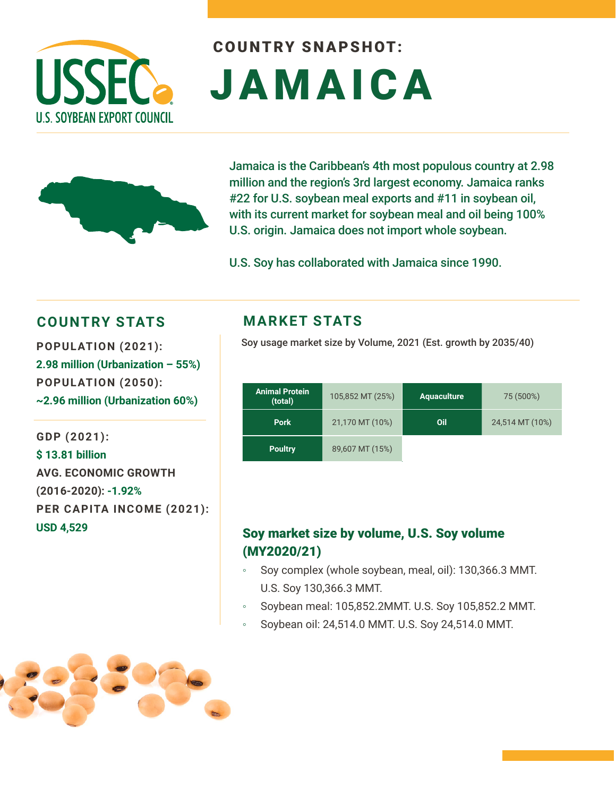

# COUNTRY SNAPSHOT: JAMAICA



Jamaica is the Caribbean's 4th most populous country at 2.98 million and the region's 3rd largest economy. Jamaica ranks #22 for U.S. soybean meal exports and #11 in soybean oil, with its current market for soybean meal and oil being 100% U.S. origin. Jamaica does not import whole soybean.

U.S. Soy has collaborated with Jamaica since 1990.

### **COUNTRY STATS MARKET STATS**

**2.98 million (Urbanization – 55%) POPULATION (2050): ~2.96 million (Urbanization 60%)**

**GDP (2021): \$ 13.81 billion AVG. ECONOMIC GROWTH (2016-2020): -1.92% PER CAPITA INCOME (2021): USD 4,529**

Soy usage market size by Volume, 2021 (Est. growth by 2035/40) **POPULATION (2021):** 

| <b>Animal Protein</b><br>(total) | 105,852 MT (25%) | <b>Aquaculture</b> | 75 (500%)       |
|----------------------------------|------------------|--------------------|-----------------|
| <b>Pork</b>                      | 21,170 MT (10%)  | Oil                | 24,514 MT (10%) |
| <b>Poultry</b>                   | 89,607 MT (15%)  |                    |                 |

#### Soy market size by volume, U.S. Soy volume (MY2020/21)

- Soy complex (whole soybean, meal, oil): 130,366.3 MMT. U.S. Soy 130,366.3 MMT.
- Soybean meal: 105,852.2MMT. U.S. Soy 105,852.2 MMT.
- Soybean oil: 24,514.0 MMT. U.S. Soy 24,514.0 MMT.